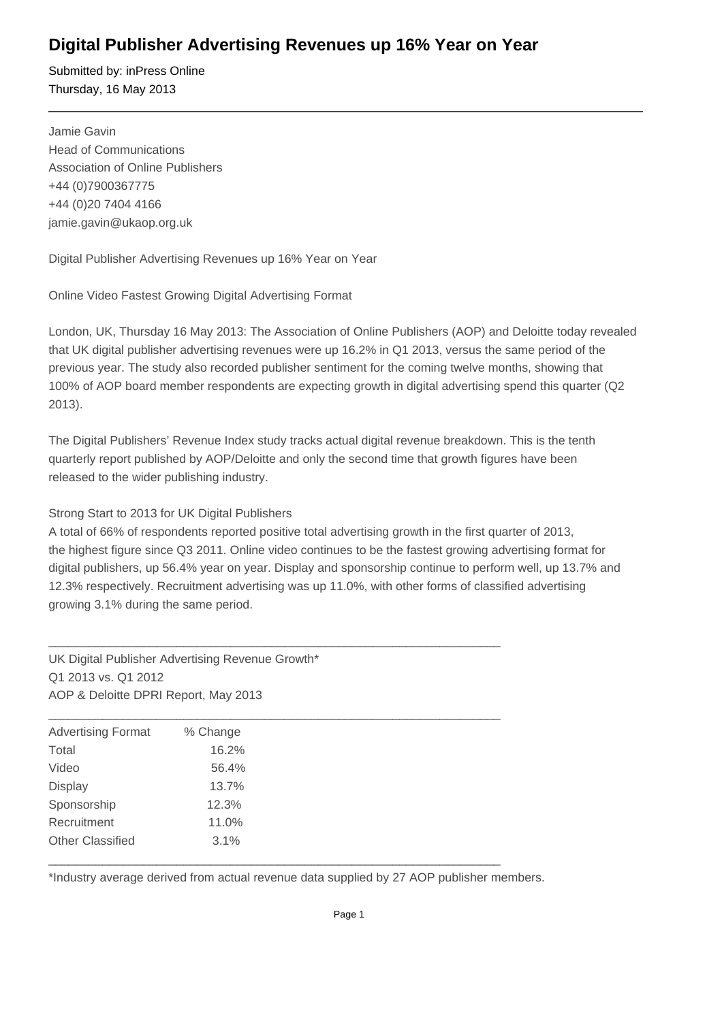# **Digital Publisher Advertising Revenues up 16% Year on Year**

Submitted by: inPress Online Thursday, 16 May 2013

Jamie Gavin Head of Communications Association of Online Publishers +44 (0)7900367775 +44 (0)20 7404 4166 jamie.gavin@ukaop.org.uk

Digital Publisher Advertising Revenues up 16% Year on Year

Online Video Fastest Growing Digital Advertising Format

London, UK, Thursday 16 May 2013: The Association of Online Publishers (AOP) and Deloitte today revealed that UK digital publisher advertising revenues were up 16.2% in Q1 2013, versus the same period of the previous year. The study also recorded publisher sentiment for the coming twelve months, showing that 100% of AOP board member respondents are expecting growth in digital advertising spend this quarter (Q2 2013).

The Digital Publishers' Revenue Index study tracks actual digital revenue breakdown. This is the tenth quarterly report published by AOP/Deloitte and only the second time that growth figures have been released to the wider publishing industry.

## Strong Start to 2013 for UK Digital Publishers

A total of 66% of respondents reported positive total advertising growth in the first quarter of 2013, the highest figure since Q3 2011. Online video continues to be the fastest growing advertising format for digital publishers, up 56.4% year on year. Display and sponsorship continue to perform well, up 13.7% and 12.3% respectively. Recruitment advertising was up 11.0%, with other forms of classified advertising growing 3.1% during the same period.

UK Digital Publisher Advertising Revenue Growth\* Q1 2013 vs. Q1 2012 AOP & Deloitte DPRI Report, May 2013

| <b>Advertising Format</b> | % Change |
|---------------------------|----------|
| Total                     | 16.2%    |
| Video                     | 56.4%    |
| <b>Display</b>            | 13.7%    |
| Sponsorship               | 12.3%    |
| Recruitment               | 11.0%    |
| <b>Other Classified</b>   | 3.1%     |

 $\_$  , and the set of the set of the set of the set of the set of the set of the set of the set of the set of the set of the set of the set of the set of the set of the set of the set of the set of the set of the set of th

 $\_$  , and the set of the set of the set of the set of the set of the set of the set of the set of the set of the set of the set of the set of the set of the set of the set of the set of the set of the set of the set of th

\*Industry average derived from actual revenue data supplied by 27 AOP publisher members.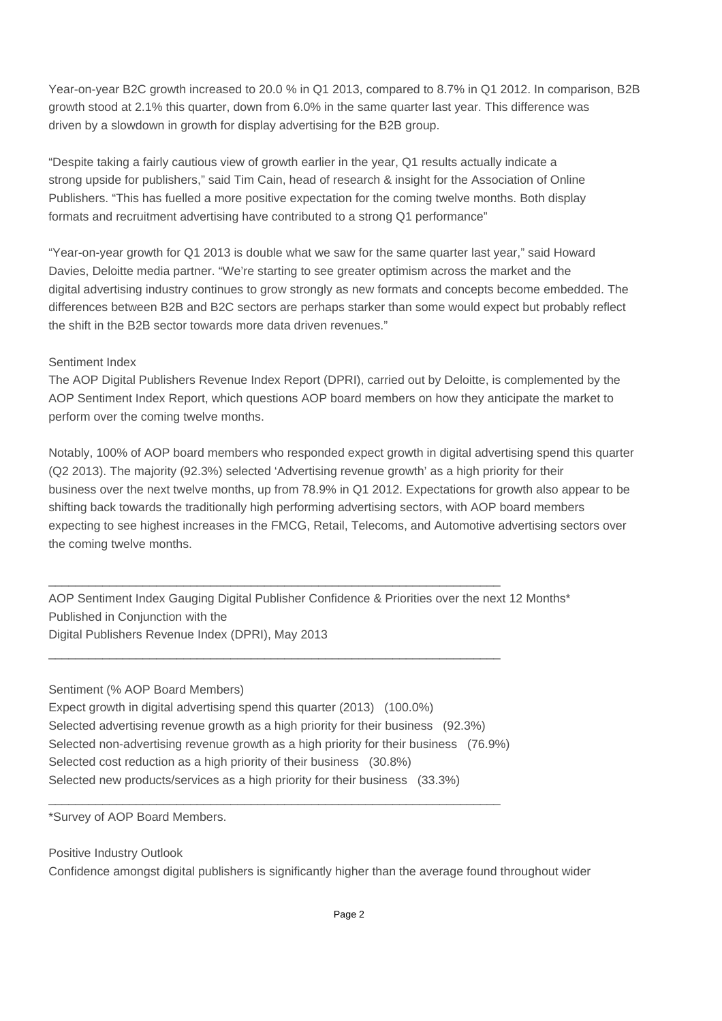Year-on-year B2C growth increased to 20.0 % in Q1 2013, compared to 8.7% in Q1 2012. In comparison, B2B growth stood at 2.1% this quarter, down from 6.0% in the same quarter last year. This difference was driven by a slowdown in growth for display advertising for the B2B group.

"Despite taking a fairly cautious view of growth earlier in the year, Q1 results actually indicate a strong upside for publishers," said Tim Cain, head of research & insight for the Association of Online Publishers. "This has fuelled a more positive expectation for the coming twelve months. Both display formats and recruitment advertising have contributed to a strong Q1 performance"

"Year-on-year growth for Q1 2013 is double what we saw for the same quarter last year," said Howard Davies, Deloitte media partner. "We're starting to see greater optimism across the market and the digital advertising industry continues to grow strongly as new formats and concepts become embedded. The differences between B2B and B2C sectors are perhaps starker than some would expect but probably reflect the shift in the B2B sector towards more data driven revenues."

### Sentiment Index

The AOP Digital Publishers Revenue Index Report (DPRI), carried out by Deloitte, is complemented by the AOP Sentiment Index Report, which questions AOP board members on how they anticipate the market to perform over the coming twelve months.

Notably, 100% of AOP board members who responded expect growth in digital advertising spend this quarter (Q2 2013). The majority (92.3%) selected 'Advertising revenue growth' as a high priority for their business over the next twelve months, up from 78.9% in Q1 2012. Expectations for growth also appear to be shifting back towards the traditionally high performing advertising sectors, with AOP board members expecting to see highest increases in the FMCG, Retail, Telecoms, and Automotive advertising sectors over the coming twelve months.

AOP Sentiment Index Gauging Digital Publisher Confidence & Priorities over the next 12 Months\* Published in Conjunction with the Digital Publishers Revenue Index (DPRI), May 2013

### Sentiment (% AOP Board Members)

Expect growth in digital advertising spend this quarter (2013) (100.0%) Selected advertising revenue growth as a high priority for their business (92.3%) Selected non-advertising revenue growth as a high priority for their business (76.9%) Selected cost reduction as a high priority of their business (30.8%) Selected new products/services as a high priority for their business (33.3%)

 $\_$  ,  $\_$  ,  $\_$  ,  $\_$  ,  $\_$  ,  $\_$  ,  $\_$  ,  $\_$  ,  $\_$  ,  $\_$  ,  $\_$  ,  $\_$  ,  $\_$  ,  $\_$  ,  $\_$  ,  $\_$  ,  $\_$  ,  $\_$  ,  $\_$ 

 $\_$  ,  $\_$  ,  $\_$  ,  $\_$  ,  $\_$  ,  $\_$  ,  $\_$  ,  $\_$  ,  $\_$  ,  $\_$  ,  $\_$  ,  $\_$  ,  $\_$  ,  $\_$  ,  $\_$  ,  $\_$  ,  $\_$  ,  $\_$  ,  $\_$ 

 $\_$  ,  $\_$  ,  $\_$  ,  $\_$  ,  $\_$  ,  $\_$  ,  $\_$  ,  $\_$  ,  $\_$  ,  $\_$  ,  $\_$  ,  $\_$  ,  $\_$  ,  $\_$  ,  $\_$  ,  $\_$  ,  $\_$  ,  $\_$  ,  $\_$ 

\*Survey of AOP Board Members.

Positive Industry Outlook Confidence amongst digital publishers is significantly higher than the average found throughout wider